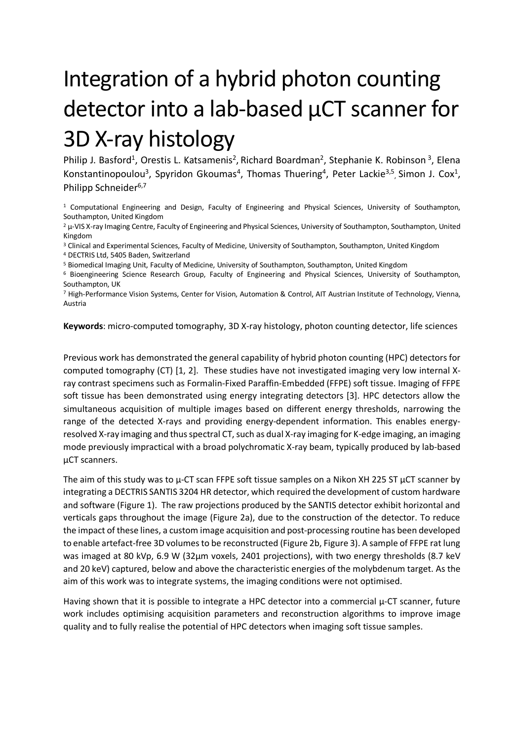## Integration of a hybrid photon counting detector into a lab-based µCT scanner for 3D X-ray histology

Philip J. Basford<sup>1</sup>, Orestis L. Katsamenis<sup>2</sup>, Richard Boardman<sup>2</sup>, Stephanie K. Robinson<sup>3</sup>, Elena Konstantinopoulou<sup>3</sup>, Spyridon Gkoumas<sup>4</sup>, Thomas Thuering<sup>4</sup>, Peter Lackie<sup>3,5</sup>, Simon J. Cox<sup>1</sup>, Philipp Schneider<sup>6,7</sup>

<sup>1</sup> Computational Engineering and Design, Faculty of Engineering and Physical Sciences, University of Southampton, Southampton, United Kingdom

<sup>2</sup> μ-VIS X-ray Imaging Centre, Faculty of Engineering and Physical Sciences, University of Southampton, Southampton, United Kingdom

<sup>3</sup> Clinical and Experimental Sciences, Faculty of Medicine, University of Southampton, Southampton, United Kingdom <sup>4</sup> DECTRIS Ltd, 5405 Baden, Switzerland

<sup>5</sup> Biomedical Imaging Unit, Faculty of Medicine, University of Southampton, Southampton, United Kingdom

<sup>6</sup> Bioengineering Science Research Group, Faculty of Engineering and Physical Sciences, University of Southampton, Southampton, UK

<sup>7</sup> High-Performance Vision Systems, Center for Vision, Automation & Control, AIT Austrian Institute of Technology, Vienna, Austria

**Keywords**: micro-computed tomography, 3D X-ray histology, photon counting detector, life sciences

Previous work has demonstrated the general capability of hybrid photon counting (HPC) detectors for computed tomography (CT) [1, 2]. These studies have not investigated imaging very low internal Xray contrast specimens such as Formalin-Fixed Paraffin-Embedded (FFPE) soft tissue. Imaging of FFPE soft tissue has been demonstrated using energy integrating detectors [3]. HPC detectors allow the simultaneous acquisition of multiple images based on different energy thresholds, narrowing the range of the detected X-rays and providing energy-dependent information. This enables energyresolved X-ray imaging and thus spectral CT, such as dual X-ray imaging for K-edge imaging, an imaging mode previously impractical with a broad polychromatic X-ray beam, typically produced by lab-based µCT scanners.

The aim of this study was to  $\mu$ -CT scan FFPE soft tissue samples on a Nikon XH 225 ST  $\mu$ CT scanner by integrating a DECTRIS SANTIS 3204 HR detector, which required the development of custom hardware and software [\(Figure 1\)](#page-1-0). The raw projections produced by the SANTIS detector exhibit horizontal and verticals gaps throughout the image [\(Figure 2a](#page-1-1)), due to the construction of the detector. To reduce the impact of these lines, a custom image acquisition and post-processing routine has been developed to enable artefact-free 3D volumes to be reconstructed [\(Figure 2b](#page-1-1), [Figure 3\)](#page-1-2). A sample of FFPE rat lung was imaged at 80 kVp, 6.9 W (32µm voxels, 2401 projections), with two energy thresholds (8.7 keV and 20 keV) captured, below and above the characteristic energies of the molybdenum target. As the aim of this work was to integrate systems, the imaging conditions were not optimised.

Having shown that it is possible to integrate a HPC detector into a commercial  $\mu$ -CT scanner, future work includes optimising acquisition parameters and reconstruction algorithms to improve image quality and to fully realise the potential of HPC detectors when imaging soft tissue samples.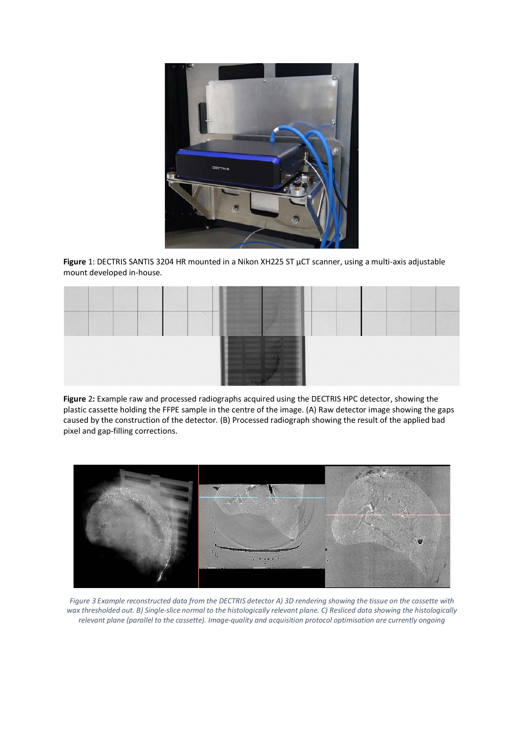

<span id="page-1-0"></span>**Figure** 1: DECTRIS SANTIS 3204 HR mounted in a Nikon XH225 ST µCT scanner, using a multi-axis adjustable mount developed in-house.



<span id="page-1-1"></span>**Figure** 2**:** Example raw and processed radiographs acquired using the DECTRIS HPC detector, showing the plastic cassette holding the FFPE sample in the centre of the image. (A) Raw detector image showing the gaps caused by the construction of the detector. (B) Processed radiograph showing the result of the applied bad pixel and gap-filling corrections.



<span id="page-1-2"></span>*Figure 3 Example reconstructed data from the DECTRIS detector A) 3D rendering showing the tissue on the cassette with wax thresholded out. B) Single-slice normal to the histologically relevant plane. C) Resliced data showing the histologically relevant plane (parallel to the cassette). Image-quality and acquisition protocol optimisation are currently ongoing*